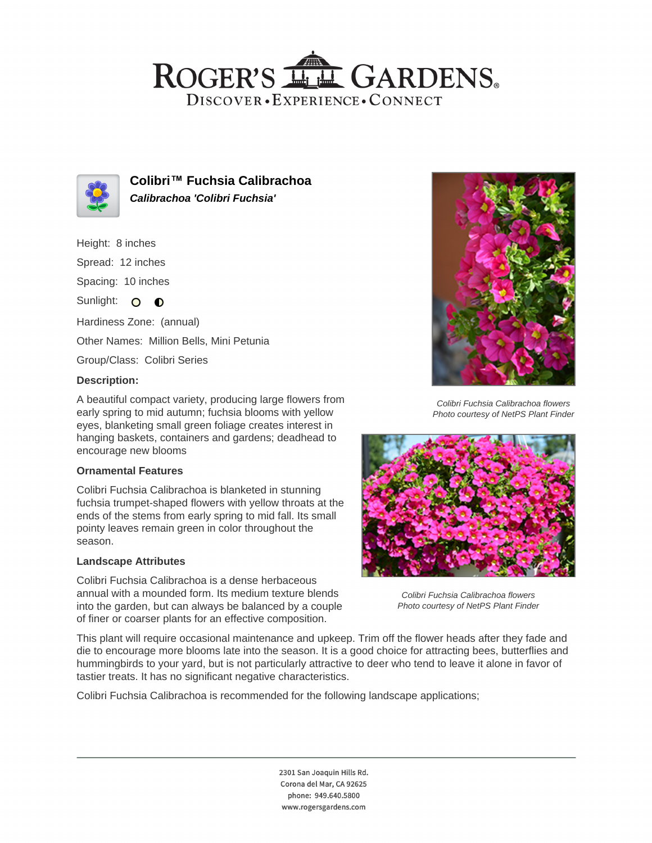## ROGER'S LL GARDENS. DISCOVER · EXPERIENCE · CONNECT



**Colibri™ Fuchsia Calibrachoa Calibrachoa 'Colibri Fuchsia'**

Height: 8 inches

Spread: 12 inches

Spacing: 10 inches

Sunlight: O O

Hardiness Zone: (annual) Other Names: Million Bells, Mini Petunia

Group/Class: Colibri Series

### **Description:**

A beautiful compact variety, producing large flowers from early spring to mid autumn; fuchsia blooms with yellow eyes, blanketing small green foliage creates interest in hanging baskets, containers and gardens; deadhead to encourage new blooms

#### **Ornamental Features**

Colibri Fuchsia Calibrachoa is blanketed in stunning fuchsia trumpet-shaped flowers with yellow throats at the ends of the stems from early spring to mid fall. Its small pointy leaves remain green in color throughout the season.

#### **Landscape Attributes**

Colibri Fuchsia Calibrachoa is a dense herbaceous annual with a mounded form. Its medium texture blends into the garden, but can always be balanced by a couple of finer or coarser plants for an effective composition.



Colibri Fuchsia Calibrachoa flowers Photo courtesy of NetPS Plant Finder



Colibri Fuchsia Calibrachoa flowers Photo courtesy of NetPS Plant Finder

This plant will require occasional maintenance and upkeep. Trim off the flower heads after they fade and die to encourage more blooms late into the season. It is a good choice for attracting bees, butterflies and hummingbirds to your yard, but is not particularly attractive to deer who tend to leave it alone in favor of tastier treats. It has no significant negative characteristics.

Colibri Fuchsia Calibrachoa is recommended for the following landscape applications;

2301 San Joaquin Hills Rd. Corona del Mar, CA 92625 phone: 949.640.5800 www.rogersgardens.com